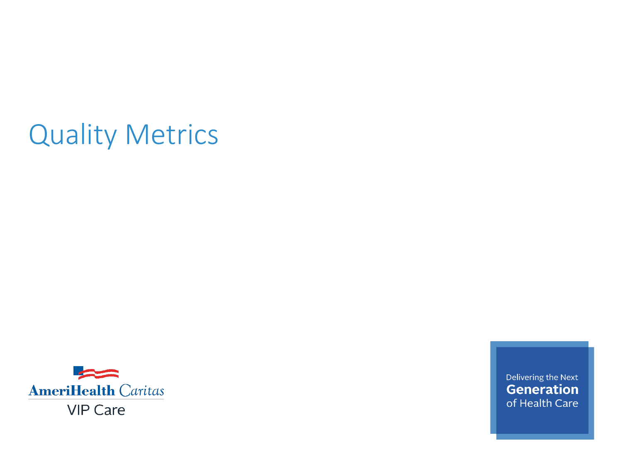# Quality Metrics



Delivering the Next **Generation** of Health Care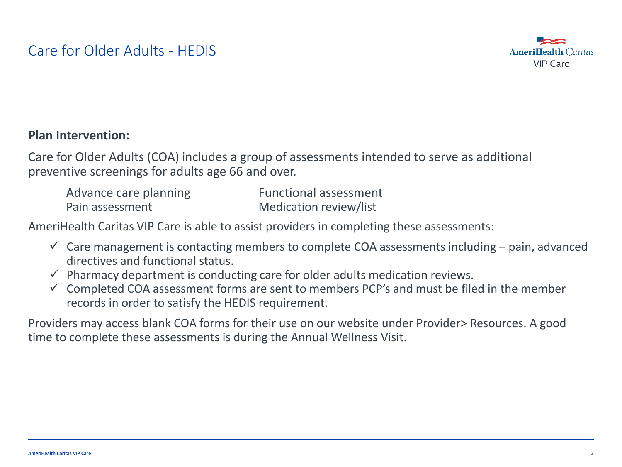

### **Plan Intervention:**

Care for Older Adults (COA) includes a group of assessments intended to serve as additional preventive screenings for adults age 66 and over.

| Advance care planning | <b>Functional assessment</b> |
|-----------------------|------------------------------|
| Pain assessment       | Medication review/list       |

AmeriHealth Caritas VIP Care is able to assist providers in completing these assessments:

- $\checkmark$  Care management is contacting members to complete COA assessments including pain, advanced directives and functional status.
- $\checkmark$  Pharmacy department is conducting care for older adults medication reviews.
- $\checkmark$  Completed COA assessment forms are sent to members PCP's and must be filed in the member records in order to satisfy the HEDIS requirement.

Providers may access blank COA forms for their use on our website under Provider> Resources. A good time to complete these assessments is during the Annual Wellness Visit.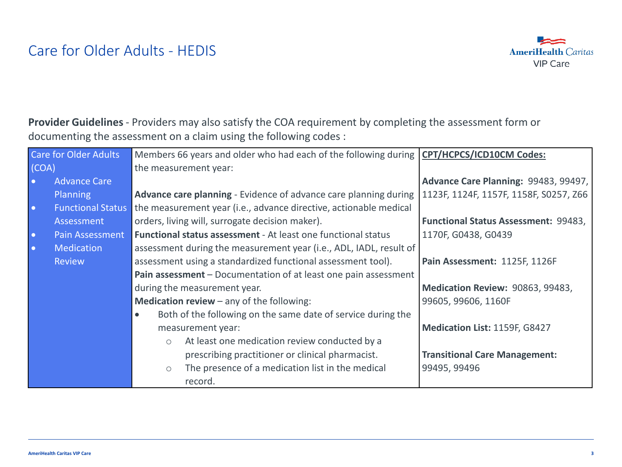# Care for Older Adults - HEDIS



**Provider Guidelines** - Providers may also satisfy the COA requirement by completing the assessment form or documenting the assessment on a claim using the following codes :

|           | <b>Care for Older Adults</b> | Members 66 years and older who had each of the following during CPT/HCPCS/ICD10CM Codes: |                                             |
|-----------|------------------------------|------------------------------------------------------------------------------------------|---------------------------------------------|
| (COA)     |                              | the measurement year:                                                                    |                                             |
| $\bullet$ | <b>Advance Care</b>          |                                                                                          | Advance Care Planning: 99483, 99497,        |
|           | Planning                     | Advance care planning - Evidence of advance care planning during                         | 1123F, 1124F, 1157F, 1158F, S0257, Z66      |
| $\bullet$ | <b>Functional Status</b>     | the measurement year (i.e., advance directive, actionable medical                        |                                             |
|           | Assessment                   | orders, living will, surrogate decision maker).                                          | <b>Functional Status Assessment: 99483,</b> |
| $\bullet$ | Pain Assessment              | <b>Functional status assessment</b> - At least one functional status                     | 1170F, G0438, G0439                         |
| $\bullet$ | <b>Medication</b>            | assessment during the measurement year (i.e., ADL, IADL, result of                       |                                             |
|           | <b>Review</b>                | assessment using a standardized functional assessment tool).                             | Pain Assessment: 1125F, 1126F               |
|           |                              | Pain assessment - Documentation of at least one pain assessment                          |                                             |
|           |                              | during the measurement year.                                                             | Medication Review: 90863, 99483,            |
|           |                              | <b>Medication review</b> – any of the following:                                         | 99605, 99606, 1160F                         |
|           |                              | Both of the following on the same date of service during the<br>$\bullet$                |                                             |
|           |                              | measurement year:                                                                        | Medication List: 1159F, G8427               |
|           |                              | At least one medication review conducted by a<br>$\circ$                                 |                                             |
|           |                              | prescribing practitioner or clinical pharmacist.                                         | <b>Transitional Care Management:</b>        |
|           |                              | The presence of a medication list in the medical<br>$\circ$                              | 99495, 99496                                |
|           |                              | record.                                                                                  |                                             |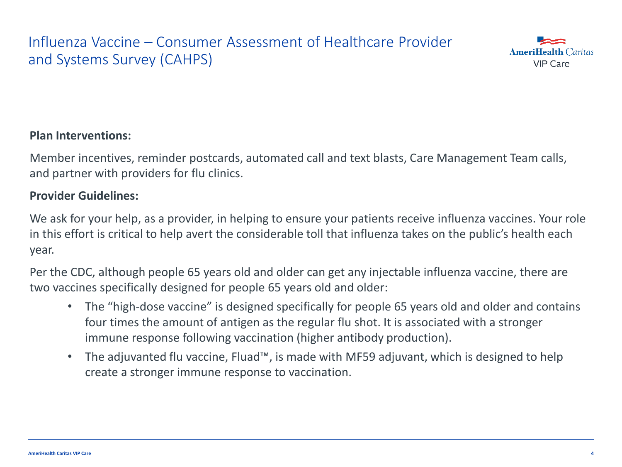# Influenza Vaccine – Consumer Assessment of Healthcare Provider and Systems Survey (CAHPS)



### **Plan Interventions:**

Member incentives, reminder postcards, automated call and text blasts, Care Management Team calls, and partner with providers for flu clinics.

### **Provider Guidelines:**

We ask for your help, as a provider, in helping to ensure your patients receive influenza vaccines. Your role in this effort is critical to help avert the considerable toll that influenza takes on the public's health each year.

Per the CDC, although people 65 years old and older can get any injectable influenza vaccine, there are two vaccines specifically designed for people 65 years old and older:

- The "high-dose vaccine" is designed specifically for people 65 years old and older and contains four times the amount of antigen as the regular flu shot. It is associated with a stronger immune response following vaccination (higher antibody production).
- The adjuvanted flu vaccine, Fluad™, is made with MF59 adjuvant, which is designed to help create a stronger immune response to vaccination.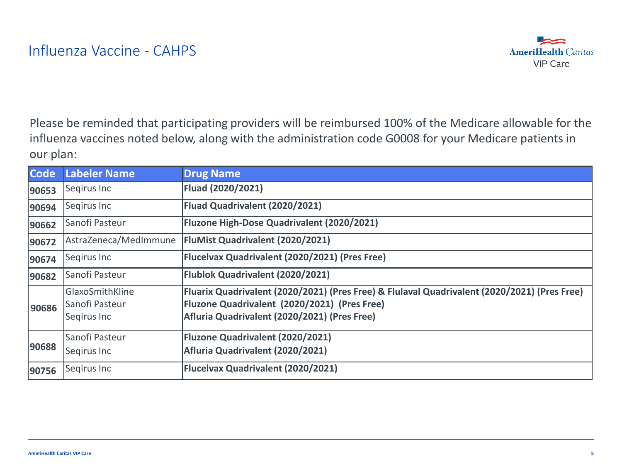

Please be reminded that participating providers will be reimbursed 100% of the Medicare allowable for the influenza vaccines noted below, along with the administration code G0008 for your Medicare patients in our plan:

| <b>Code</b> | <b>Labeler Name</b>                              | <b>Drug Name</b>                                                                                                                                                                             |
|-------------|--------------------------------------------------|----------------------------------------------------------------------------------------------------------------------------------------------------------------------------------------------|
| 90653       | Segirus Inc                                      | Fluad (2020/2021)                                                                                                                                                                            |
| 90694       | Segirus Inc                                      | Fluad Quadrivalent (2020/2021)                                                                                                                                                               |
| 90662       | Sanofi Pasteur                                   | Fluzone High-Dose Quadrivalent (2020/2021)                                                                                                                                                   |
| 90672       | AstraZeneca/MedImmune                            | FluMist Quadrivalent (2020/2021)                                                                                                                                                             |
| 90674       | Segirus Inc                                      | Flucelvax Quadrivalent (2020/2021) (Pres Free)                                                                                                                                               |
| 90682       | Sanofi Pasteur                                   | Flublok Quadrivalent (2020/2021)                                                                                                                                                             |
| 90686       | GlaxoSmithKline<br>Sanofi Pasteur<br>Segirus Inc | Fluarix Quadrivalent (2020/2021) (Pres Free) & Flulaval Quadrivalent (2020/2021) (Pres Free)<br>Fluzone Quadrivalent (2020/2021) (Pres Free)<br>Afluria Quadrivalent (2020/2021) (Pres Free) |
| 90688       | Sanofi Pasteur<br>Segirus Inc                    | Fluzone Quadrivalent (2020/2021)<br>Afluria Quadrivalent (2020/2021)                                                                                                                         |
| 90756       | Segirus Inc                                      | <b>Flucelvax Quadrivalent (2020/2021)</b>                                                                                                                                                    |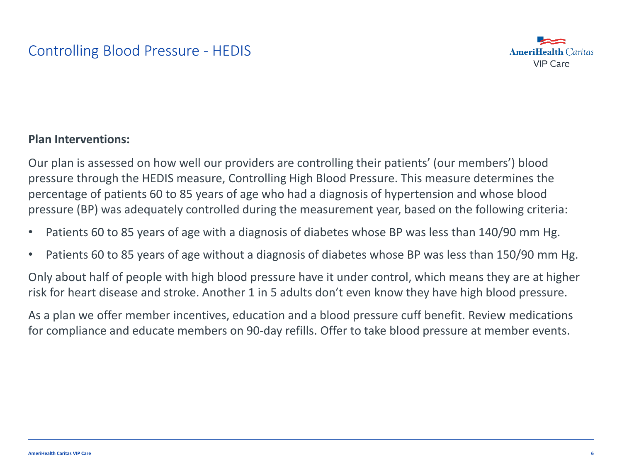

### **Plan Interventions:**

Our plan is assessed on how well our providers are controlling their patients' (our members') blood pressure through the HEDIS measure, Controlling High Blood Pressure. This measure determines the percentage of patients 60 to 85 years of age who had a diagnosis of hypertension and whose blood pressure (BP) was adequately controlled during the measurement year, based on the following criteria:

- Patients 60 to 85 years of age with a diagnosis of diabetes whose BP was less than 140/90 mm Hg.
- Patients 60 to 85 years of age without a diagnosis of diabetes whose BP was less than 150/90 mm Hg.

Only about half of people with high blood pressure have it under control, which means they are at higher risk for heart disease and stroke. Another 1 in 5 adults don't even know they have high blood pressure.

As a plan we offer member incentives, education and a blood pressure cuff benefit. Review medications for compliance and educate members on 90-day refills. Offer to take blood pressure at member events.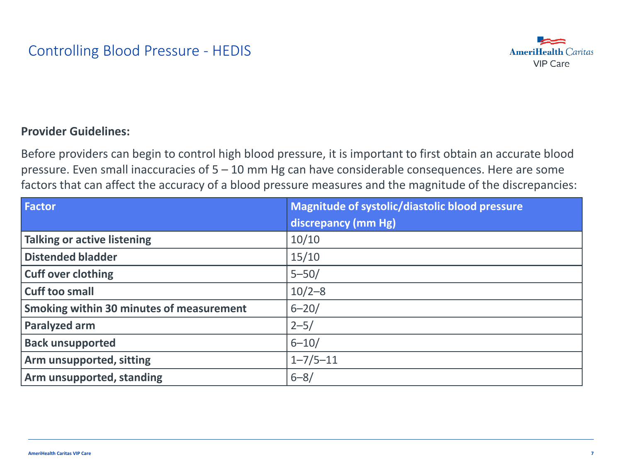

### **Provider Guidelines:**

Before providers can begin to control high blood pressure, it is important to first obtain an accurate blood pressure. Even small inaccuracies of 5 – 10 mm Hg can have considerable consequences. Here are some factors that can affect the accuracy of a blood pressure measures and the magnitude of the discrepancies:

| <b>Factor</b>                            | Magnitude of systolic/diastolic blood pressure |
|------------------------------------------|------------------------------------------------|
|                                          | discrepancy (mm Hg)                            |
| <b>Talking or active listening</b>       | 10/10                                          |
| <b>Distended bladder</b>                 | 15/10                                          |
| <b>Cuff over clothing</b>                | $5 - 50/$                                      |
| <b>Cuff too small</b>                    | $10/2 - 8$                                     |
| Smoking within 30 minutes of measurement | $6 - 20/$                                      |
| Paralyzed arm                            | $2 - 5/$                                       |
| <b>Back unsupported</b>                  | $6 - 10/$                                      |
| Arm unsupported, sitting                 | $1 - 7/5 - 11$                                 |
| Arm unsupported, standing                | $6 - 8/$                                       |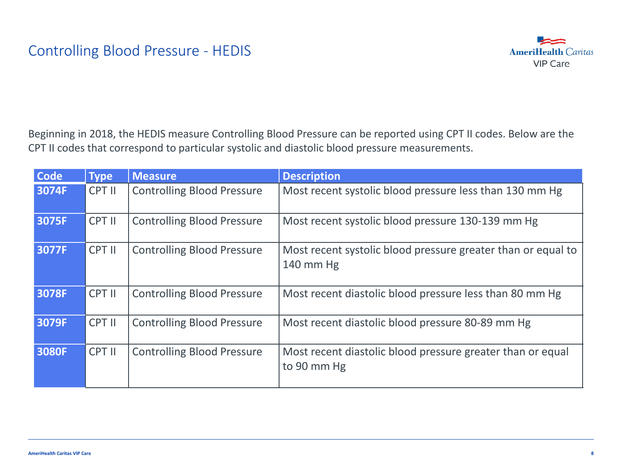

Beginning in 2018, the HEDIS measure Controlling Blood Pressure can be reported using CPT II codes. Below are the CPT II codes that correspond to particular systolic and diastolic blood pressure measurements.

| <b>Code</b> | <b>Type</b> | <b>Measure</b>                    | <b>Description</b>                                                        |
|-------------|-------------|-----------------------------------|---------------------------------------------------------------------------|
| 3074F       | CPT II      | <b>Controlling Blood Pressure</b> | Most recent systolic blood pressure less than 130 mm Hg                   |
| 3075F       | CPT II      | <b>Controlling Blood Pressure</b> | Most recent systolic blood pressure 130-139 mm Hg                         |
| 3077F       | CPT II      | <b>Controlling Blood Pressure</b> | Most recent systolic blood pressure greater than or equal to<br>140 mm Hg |
| 3078F       | CPT II      | <b>Controlling Blood Pressure</b> | Most recent diastolic blood pressure less than 80 mm Hg                   |
| 3079F       | CPT II      | <b>Controlling Blood Pressure</b> | Most recent diastolic blood pressure 80-89 mm Hg                          |
| 3080F       | CPT II      | <b>Controlling Blood Pressure</b> | Most recent diastolic blood pressure greater than or equal<br>to 90 mm Hg |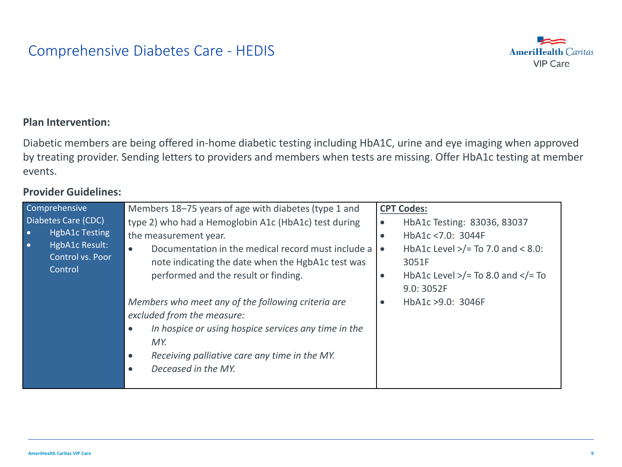### Comprehensive Diabetes Care - HEDIS



#### **Plan Intervention:**

Diabetic members are being offered in-home diabetic testing including HbA1C, urine and eye imaging when approved by treating provider. Sending letters to providers and members when tests are missing. Offer HbA1c testing at member events.

| Comprehensive                                                                                                                  | Members 18-75 years of age with diabetes (type 1 and                                                                                                                                                                                                           | <b>CPT Codes:</b>                                                                                                                                                                                              |
|--------------------------------------------------------------------------------------------------------------------------------|----------------------------------------------------------------------------------------------------------------------------------------------------------------------------------------------------------------------------------------------------------------|----------------------------------------------------------------------------------------------------------------------------------------------------------------------------------------------------------------|
| Diabetes Care (CDC)<br><b>HgbA1c Testing</b><br>$\bullet$<br>HgbA1c Result:<br>$\bullet$<br>Control vs. Poor<br><b>Control</b> | type 2) who had a Hemoglobin A1c (HbA1c) test during<br>the measurement year.<br>Documentation in the medical record must include a<br>$\bullet$<br>note indicating the date when the HgbA1c test was<br>performed and the result or finding.                  | HbA1c Testing: 83036, 83037<br>$\bullet$<br>HbA1c <7.0: 3044F<br>$\bullet$<br>HbA1c Level $>$ /= To 7.0 and < 8.0:<br>$\bullet$<br>3051F<br>HbA1c Level $>$ /= To 8.0 and $<$ /= To<br>$\bullet$<br>9.0: 3052F |
|                                                                                                                                | Members who meet any of the following criteria are<br>excluded from the measure:<br>In hospice or using hospice services any time in the<br>$\bullet$<br>MY.<br>Receiving palliative care any time in the MY.<br>$\bullet$<br>Deceased in the MY.<br>$\bullet$ | HbA1c >9.0: 3046F<br>$\bullet$                                                                                                                                                                                 |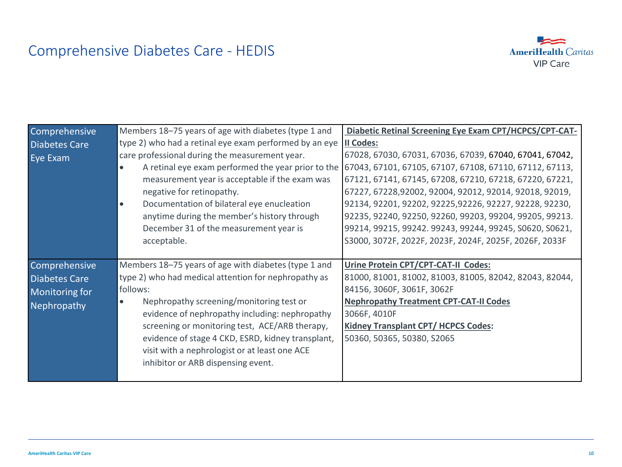# Comprehensive Diabetes Care - HEDIS



| Comprehensive        | Members 18-75 years of age with diabetes (type 1 and            | Diabetic Retinal Screening Eye Exam CPT/HCPCS/CPT-CAT-  |  |
|----------------------|-----------------------------------------------------------------|---------------------------------------------------------|--|
| <b>Diabetes Care</b> | type 2) who had a retinal eye exam performed by an eye          | II Codes:                                               |  |
| Eye Exam             | care professional during the measurement year.                  | 67028, 67030, 67031, 67036, 67039, 67040, 67041, 67042, |  |
|                      | A retinal eye exam performed the year prior to the<br>$\bullet$ | 67043, 67101, 67105, 67107, 67108, 67110, 67112, 67113, |  |
|                      | measurement year is acceptable if the exam was                  | 67121, 67141, 67145, 67208, 67210, 67218, 67220, 67221, |  |
|                      | negative for retinopathy.                                       | 67227, 67228, 92002, 92004, 92012, 92014, 92018, 92019, |  |
|                      | Documentation of bilateral eye enucleation<br>$\bullet$         | 92134, 92201, 92202, 92225, 92226, 92227, 92228, 92230, |  |
|                      | anytime during the member's history through                     | 92235, 92240, 92250, 92260, 99203, 99204, 99205, 99213. |  |
|                      | December 31 of the measurement year is                          | 99214, 99215, 99242. 99243, 99244, 99245, S0620, S0621, |  |
|                      | acceptable.                                                     | S3000, 3072F, 2022F, 2023F, 2024F, 2025F, 2026F, 2033F  |  |
|                      |                                                                 |                                                         |  |
| Comprehensive        | Members 18-75 years of age with diabetes (type 1 and            | Urine Protein CPT/CPT-CAT-II Codes:                     |  |
| <b>Diabetes Care</b> | type 2) who had medical attention for nephropathy as            | 81000, 81001, 81002, 81003, 81005, 82042, 82043, 82044, |  |
| Monitoring for       | follows:                                                        | 84156, 3060F, 3061F, 3062F                              |  |
| Nephropathy          | Nephropathy screening/monitoring test or<br>$\bullet$           | <b>Nephropathy Treatment CPT-CAT-II Codes</b>           |  |
|                      | evidence of nephropathy including: nephropathy                  | 3066F, 4010F                                            |  |
|                      | screening or monitoring test, ACE/ARB therapy,                  | <b>Kidney Transplant CPT/ HCPCS Codes:</b>              |  |
|                      | evidence of stage 4 CKD, ESRD, kidney transplant,               | 50360, 50365, 50380, S2065                              |  |
|                      | visit with a nephrologist or at least one ACE                   |                                                         |  |
|                      | inhibitor or ARB dispensing event.                              |                                                         |  |
|                      |                                                                 |                                                         |  |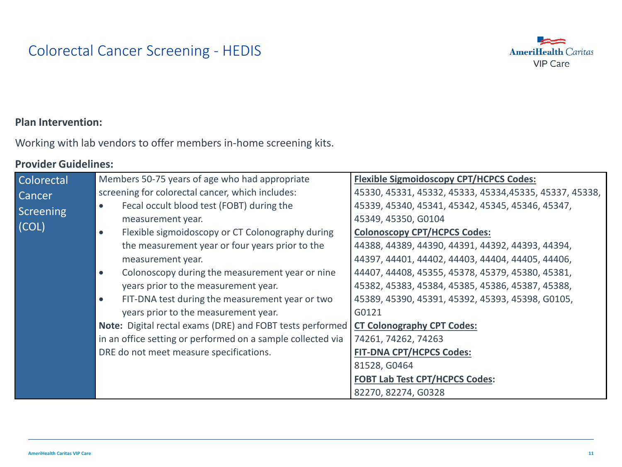# Colorectal Cancer Screening - HEDIS



### **Plan Intervention:**

Working with lab vendors to offer members in-home screening kits.

| <b>Colorectal</b> | Members 50-75 years of age who had appropriate                | <b>Flexible Sigmoidoscopy CPT/HCPCS Codes:</b>          |
|-------------------|---------------------------------------------------------------|---------------------------------------------------------|
| <b>Cancer</b>     | screening for colorectal cancer, which includes:              | 45330, 45331, 45332, 45333, 45334, 45335, 45337, 45338, |
| Screening         | Fecal occult blood test (FOBT) during the<br>$\bullet$        | 45339, 45340, 45341, 45342, 45345, 45346, 45347,        |
|                   | measurement year.                                             | 45349, 45350, G0104                                     |
| (COL)             | Flexible sigmoidoscopy or CT Colonography during<br>$\bullet$ | <b>Colonoscopy CPT/HCPCS Codes:</b>                     |
|                   | the measurement year or four years prior to the               | 44388, 44389, 44390, 44391, 44392, 44393, 44394,        |
|                   | measurement year.                                             | 44397, 44401, 44402, 44403, 44404, 44405, 44406,        |
|                   | Colonoscopy during the measurement year or nine<br>$\bullet$  | 44407, 44408, 45355, 45378, 45379, 45380, 45381,        |
|                   | years prior to the measurement year.                          | 45382, 45383, 45384, 45385, 45386, 45387, 45388,        |
|                   | FIT-DNA test during the measurement year or two<br>$\bullet$  | 45389, 45390, 45391, 45392, 45393, 45398, G0105,        |
|                   | years prior to the measurement year.                          | G0121                                                   |
|                   | Note: Digital rectal exams (DRE) and FOBT tests performed     | <b>CT Colonography CPT Codes:</b>                       |
|                   | in an office setting or performed on a sample collected via   | 74261, 74262, 74263                                     |
|                   | DRE do not meet measure specifications.                       | <b>FIT-DNA CPT/HCPCS Codes:</b>                         |
|                   |                                                               | 81528, G0464                                            |
|                   |                                                               | <b>FOBT Lab Test CPT/HCPCS Codes:</b>                   |
|                   |                                                               | 82270, 82274, G0328                                     |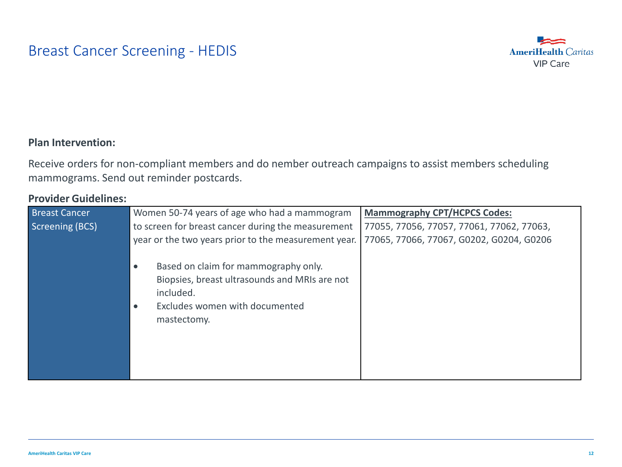### Breast Cancer Screening - HEDIS



### **Plan Intervention:**

Receive orders for non-compliant members and do nember outreach campaigns to assist members scheduling mammograms. Send out reminder postcards.

| <b>Breast Cancer</b>   | Women 50-74 years of age who had a mammogram         | <b>Mammography CPT/HCPCS Codes:</b>       |
|------------------------|------------------------------------------------------|-------------------------------------------|
| <b>Screening (BCS)</b> | to screen for breast cancer during the measurement   | 77055, 77056, 77057, 77061, 77062, 77063, |
|                        | year or the two years prior to the measurement year. | 77065, 77066, 77067, G0202, G0204, G0206  |
|                        | Based on claim for mammography only.<br>$\bullet$    |                                           |
|                        | Biopsies, breast ultrasounds and MRIs are not        |                                           |
|                        | included.                                            |                                           |
|                        | Excludes women with documented<br>$\bullet$          |                                           |
|                        | mastectomy.                                          |                                           |
|                        |                                                      |                                           |
|                        |                                                      |                                           |
|                        |                                                      |                                           |
|                        |                                                      |                                           |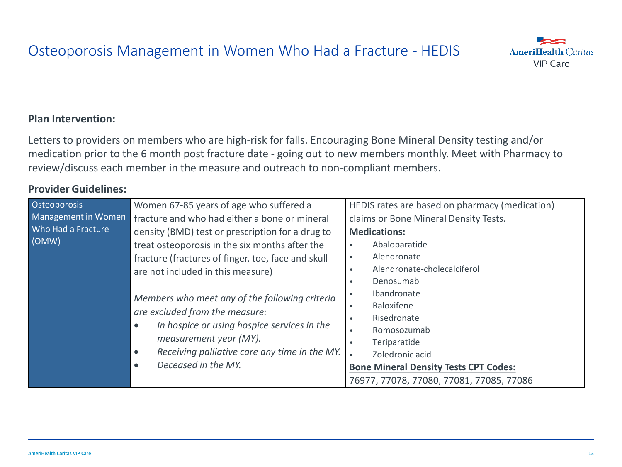### Osteoporosis Management in Women Who Had a Fracture - HEDIS

### **Plan Intervention:**

Letters to providers on members who are high-risk for falls. Encouraging Bone Mineral Density testing and/or medication prior to the 6 month post fracture date - going out to new members monthly. Meet with Pharmacy to review/discuss each member in the measure and outreach to non-compliant members.

| Osteoporosis                                                                                                                                     | Women 67-85 years of age who suffered a            | HEDIS rates are based on pharmacy (medication) |  |
|--------------------------------------------------------------------------------------------------------------------------------------------------|----------------------------------------------------|------------------------------------------------|--|
| Management in Women                                                                                                                              | fracture and who had either a bone or mineral      | claims or Bone Mineral Density Tests.          |  |
| Who Had a Fracture<br>(OMW)                                                                                                                      | density (BMD) test or prescription for a drug to   | <b>Medications:</b>                            |  |
|                                                                                                                                                  | treat osteoporosis in the six months after the     | Abaloparatide                                  |  |
|                                                                                                                                                  | fracture (fractures of finger, toe, face and skull | Alendronate                                    |  |
|                                                                                                                                                  | are not included in this measure)                  | Alendronate-cholecalciferol<br>$\bullet$       |  |
|                                                                                                                                                  |                                                    | Denosumab                                      |  |
|                                                                                                                                                  | Members who meet any of the following criteria     | Ibandronate                                    |  |
|                                                                                                                                                  | are excluded from the measure:                     | Raloxifene<br>٠                                |  |
| In hospice or using hospice services in the<br>$\bullet$<br>measurement year (MY).<br>Receiving palliative care any time in the MY.<br>$\bullet$ | Risedronate                                        |                                                |  |
|                                                                                                                                                  | Deceased in the MY.<br>$\bullet$                   | Romosozumab<br>$\bullet$                       |  |
|                                                                                                                                                  |                                                    | Teriparatide                                   |  |
|                                                                                                                                                  |                                                    | Zoledronic acid                                |  |
|                                                                                                                                                  |                                                    | <b>Bone Mineral Density Tests CPT Codes:</b>   |  |
|                                                                                                                                                  |                                                    | 76977, 77078, 77080, 77081, 77085, 77086       |  |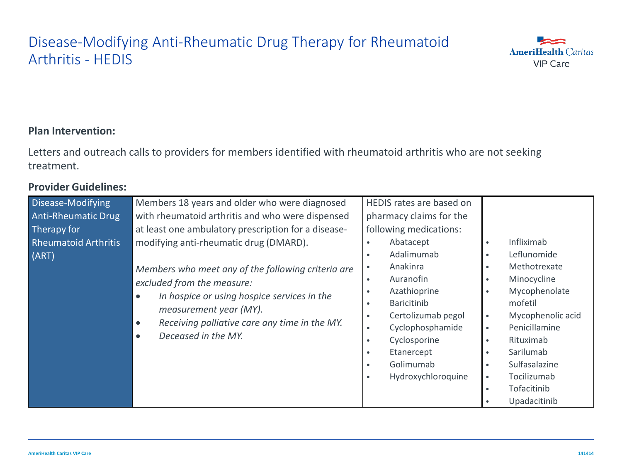# Disease-Modifying Anti-Rheumatic Drug Therapy for Rheumatoid Arthritis - HEDIS



### **Plan Intervention:**

Letters and outreach calls to providers for members identified with rheumatoid arthritis who are not seeking treatment.

| Disease-Modifying<br><b>Anti-Rheumatic Drug</b><br>Therapy for<br><b>Rheumatoid Arthritis</b><br>(ART) | Members 18 years and older who were diagnosed<br>with rheumatoid arthritis and who were dispensed<br>at least one ambulatory prescription for a disease-<br>modifying anti-rheumatic drug (DMARD).<br>Members who meet any of the following criteria are<br>excluded from the measure:<br>In hospice or using hospice services in the<br>$\bullet$<br>measurement year (MY).<br>Receiving palliative care any time in the MY.<br>$\bullet$<br>Deceased in the MY.<br>$\bullet$ | HEDIS rates are based on<br>pharmacy claims for the<br>following medications:<br>Abatacept<br>Adalimumab<br>Anakinra<br>Auranofin<br>Azathioprine<br><b>Baricitinib</b><br>Certolizumab pegol<br>Cyclophosphamide<br>Cyclosporine<br>Etanercept<br>Golimumab<br>Hydroxychloroquine | Infliximab<br>$\bullet$<br>Leflunomide<br>Methotrexate<br>Minocycline<br>Mycophenolate<br>mofetil<br>Mycophenolic acid<br>$\bullet$<br>Penicillamine<br>$\bullet$<br>Rituximab<br>$\bullet$<br>Sarilumab<br>Sulfasalazine<br>Tocilizumab<br>$\bullet$<br>Tofacitinib<br>$\bullet$<br>Upadacitinib |
|--------------------------------------------------------------------------------------------------------|--------------------------------------------------------------------------------------------------------------------------------------------------------------------------------------------------------------------------------------------------------------------------------------------------------------------------------------------------------------------------------------------------------------------------------------------------------------------------------|------------------------------------------------------------------------------------------------------------------------------------------------------------------------------------------------------------------------------------------------------------------------------------|---------------------------------------------------------------------------------------------------------------------------------------------------------------------------------------------------------------------------------------------------------------------------------------------------|
|--------------------------------------------------------------------------------------------------------|--------------------------------------------------------------------------------------------------------------------------------------------------------------------------------------------------------------------------------------------------------------------------------------------------------------------------------------------------------------------------------------------------------------------------------------------------------------------------------|------------------------------------------------------------------------------------------------------------------------------------------------------------------------------------------------------------------------------------------------------------------------------------|---------------------------------------------------------------------------------------------------------------------------------------------------------------------------------------------------------------------------------------------------------------------------------------------------|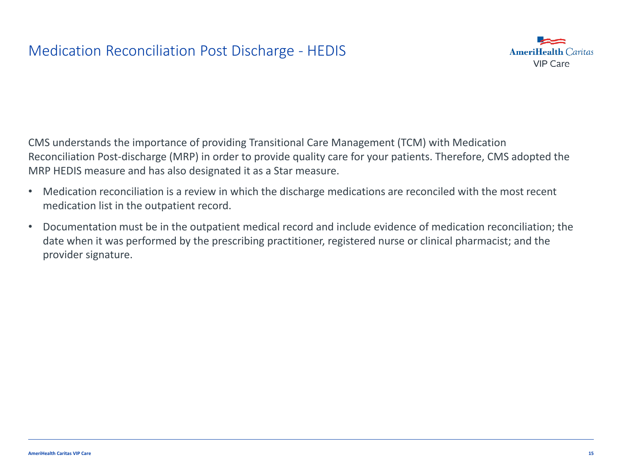### Medication Reconciliation Post Discharge - HEDIS



CMS understands the importance of providing Transitional Care Management (TCM) with Medication Reconciliation Post-discharge (MRP) in order to provide quality care for your patients. Therefore, CMS adopted the MRP HEDIS measure and has also designated it as a Star measure.

- Medication reconciliation is a review in which the discharge medications are reconciled with the most recent medication list in the outpatient record.
- Documentation must be in the outpatient medical record and include evidence of medication reconciliation; the date when it was performed by the prescribing practitioner, registered nurse or clinical pharmacist; and the provider signature.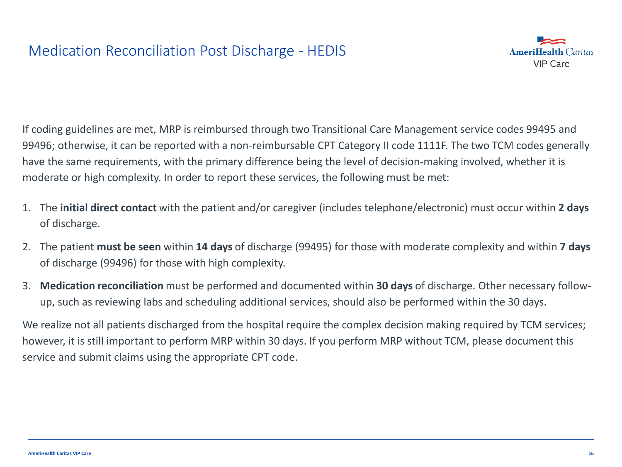

If coding guidelines are met, MRP is reimbursed through two Transitional Care Management service codes 99495 and 99496; otherwise, it can be reported with a non-reimbursable CPT Category II code 1111F. The two TCM codes generally have the same requirements, with the primary difference being the level of decision-making involved, whether it is moderate or high complexity. In order to report these services, the following must be met:

- 1. The **initial direct contact** with the patient and/or caregiver (includes telephone/electronic) must occur within **2 days** of discharge.
- 2. The patient **must be seen** within **14 days** of discharge (99495) for those with moderate complexity and within **7 days** of discharge (99496) for those with high complexity.
- 3. **Medication reconciliation** must be performed and documented within **30 days** of discharge. Other necessary followup, such as reviewing labs and scheduling additional services, should also be performed within the 30 days.

We realize not all patients discharged from the hospital require the complex decision making required by TCM services; however, it is still important to perform MRP within 30 days. If you perform MRP without TCM, please document this service and submit claims using the appropriate CPT code.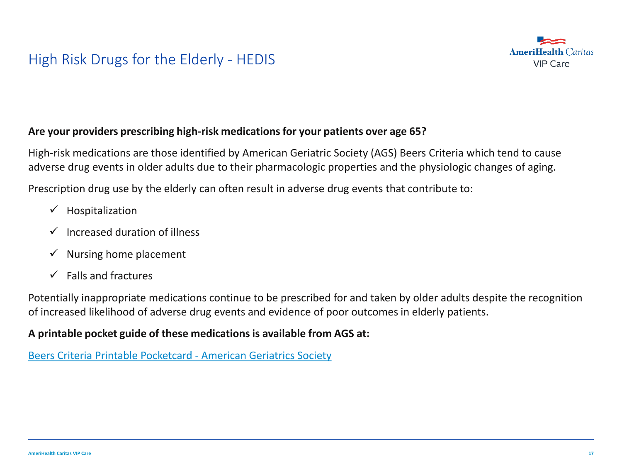# High Risk Drugs for the Elderly - HEDIS



### **Are your providers prescribing high-risk medications for your patients over age 65?**

High-risk medications are those identified by American Geriatric Society (AGS) Beers Criteria which tend to cause adverse drug events in older adults due to their pharmacologic properties and the physiologic changes of aging.

Prescription drug use by the elderly can often result in adverse drug events that contribute to:

- $\checkmark$  Hospitalization
- $\checkmark$  Increased duration of illness
- $\checkmark$  Nursing home placement
- $\checkmark$  Falls and fractures

Potentially inappropriate medications continue to be prescribed for and taken by older adults despite the recognition of increased likelihood of adverse drug events and evidence of poor outcomes in elderly patients.

### **A printable pocket guide of these medications is available from AGS at:**

[Beers Criteria Printable Pocketcard](http://www.google.com/url?sa=t&rct=j&q=&esrc=s&source=web&cd=1&cad=rja&uact=8&ved=0ahUKEwjLiPW-0crUAhVH2T4KHZCWB0sQFggiMAA&url=http://www.americangeriatrics.org/files/documents/beers/PrintableBeersPocketCard.pdf&usg=AFQjCNG3TOE5RtxbMKT0dK4EzxZ1D8z5tQ) - American Geriatrics Society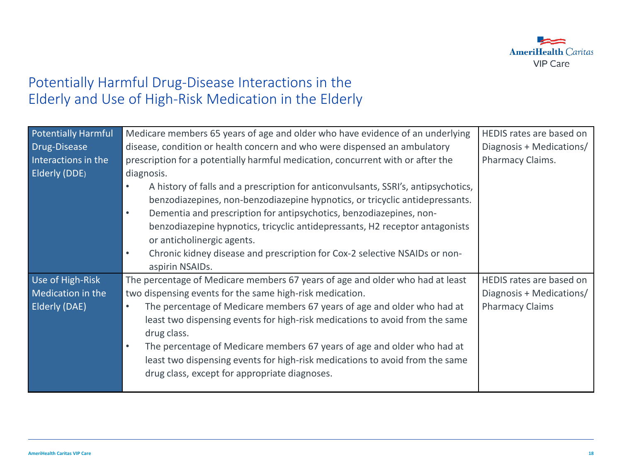

### Potentially Harmful Drug-Disease Interactions in the Elderly and Use of High-Risk Medication in the Elderly

| <b>Potentially Harmful</b> | Medicare members 65 years of age and older who have evidence of an underlying           | HEDIS rates are based on |
|----------------------------|-----------------------------------------------------------------------------------------|--------------------------|
| Drug-Disease               | disease, condition or health concern and who were dispensed an ambulatory               | Diagnosis + Medications/ |
| Interactions in the        | prescription for a potentially harmful medication, concurrent with or after the         | Pharmacy Claims.         |
| Elderly (DDE)              | diagnosis.                                                                              |                          |
|                            | A history of falls and a prescription for anticonvulsants, SSRI's, antipsychotics,      |                          |
|                            | benzodiazepines, non-benzodiazepine hypnotics, or tricyclic antidepressants.            |                          |
|                            | Dementia and prescription for antipsychotics, benzodiazepines, non-<br>$\bullet$        |                          |
|                            | benzodiazepine hypnotics, tricyclic antidepressants, H2 receptor antagonists            |                          |
|                            | or anticholinergic agents.                                                              |                          |
|                            | Chronic kidney disease and prescription for Cox-2 selective NSAIDs or non-<br>$\bullet$ |                          |
|                            | aspirin NSAIDs.                                                                         |                          |
| Use of High-Risk           | The percentage of Medicare members 67 years of age and older who had at least           | HEDIS rates are based on |
| Medication in the          | two dispensing events for the same high-risk medication.                                | Diagnosis + Medications/ |
| <b>Elderly (DAE)</b>       | The percentage of Medicare members 67 years of age and older who had at<br>$\bullet$    | <b>Pharmacy Claims</b>   |
|                            | least two dispensing events for high-risk medications to avoid from the same            |                          |
|                            | drug class.                                                                             |                          |
|                            | The percentage of Medicare members 67 years of age and older who had at<br>$\bullet$    |                          |
|                            | least two dispensing events for high-risk medications to avoid from the same            |                          |
|                            | drug class, except for appropriate diagnoses.                                           |                          |
|                            |                                                                                         |                          |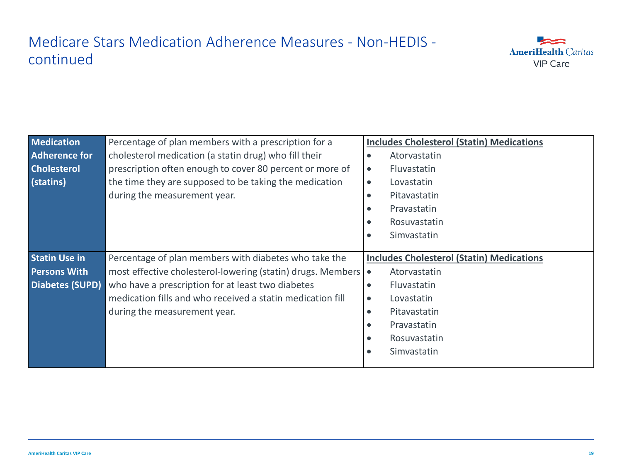# Medicare Stars Medication Adherence Measures - Non-HEDIS continued



| <b>Medication</b>      | Percentage of plan members with a prescription for a            | <b>Includes Cholesterol (Statin) Medications</b> |
|------------------------|-----------------------------------------------------------------|--------------------------------------------------|
| <b>Adherence for</b>   | cholesterol medication (a statin drug) who fill their           | Atorvastatin<br>$\bullet$                        |
| <b>Cholesterol</b>     | prescription often enough to cover 80 percent or more of        | Fluvastatin<br>$\bullet$                         |
| (statins)              | the time they are supposed to be taking the medication          | Lovastatin<br>$\bullet$                          |
|                        | during the measurement year.                                    | Pitavastatin                                     |
|                        |                                                                 | Pravastatin<br>٠                                 |
|                        |                                                                 | Rosuvastatin<br>٠                                |
|                        |                                                                 | Simvastatin<br>$\bullet$                         |
|                        |                                                                 |                                                  |
|                        |                                                                 |                                                  |
| <b>Statin Use in</b>   | Percentage of plan members with diabetes who take the           | <b>Includes Cholesterol (Statin) Medications</b> |
| <b>Persons With</b>    | most effective cholesterol-lowering (statin) drugs. Members   • | Atorvastatin                                     |
| <b>Diabetes (SUPD)</b> | who have a prescription for at least two diabetes               | Fluvastatin<br>$\bullet$                         |
|                        | medication fills and who received a statin medication fill      | Lovastatin<br>$\bullet$                          |
|                        | during the measurement year.                                    | Pitavastatin<br>$\bullet$                        |
|                        |                                                                 | Pravastatin                                      |
|                        |                                                                 | Rosuvastatin<br>$\bullet$                        |
|                        |                                                                 | Simvastatin<br>$\bullet$                         |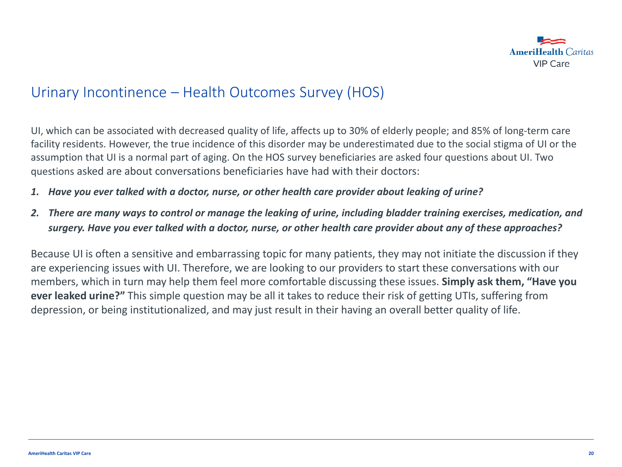

### Urinary Incontinence – Health Outcomes Survey (HOS)

UI, which can be associated with decreased quality of life, affects up to 30% of elderly people; and 85% of long-term care facility residents. However, the true incidence of this disorder may be underestimated due to the social stigma of UI or the assumption that UI is a normal part of aging. On the HOS survey beneficiaries are asked four questions about UI. Two questions asked are about conversations beneficiaries have had with their doctors:

- *1. Have you ever talked with a doctor, nurse, or other health care provider about leaking of urine?*
- *2. There are many ways to control or manage the leaking of urine, including bladder training exercises, medication, and surgery. Have you ever talked with a doctor, nurse, or other health care provider about any of these approaches?*

Because UI is often a sensitive and embarrassing topic for many patients, they may not initiate the discussion if they are experiencing issues with UI. Therefore, we are looking to our providers to start these conversations with our members, which in turn may help them feel more comfortable discussing these issues. **Simply ask them, "Have you ever leaked urine?"** This simple question may be all it takes to reduce their risk of getting UTIs, suffering from depression, or being institutionalized, and may just result in their having an overall better quality of life.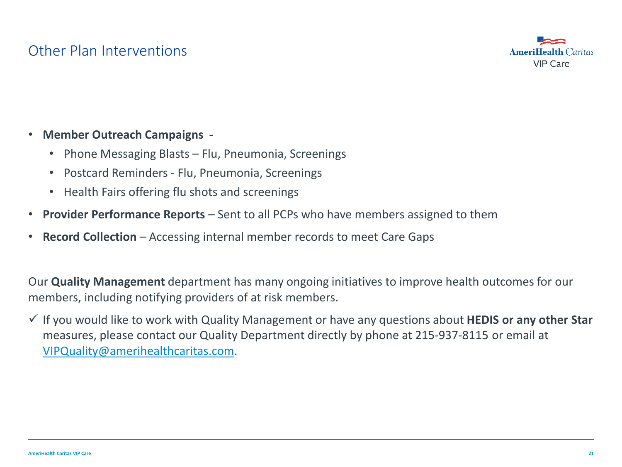### Other Plan Interventions



### • **Member Outreach Campaigns -**

- Phone Messaging Blasts Flu, Pneumonia, Screenings
- Postcard Reminders Flu, Pneumonia, Screenings
- Health Fairs offering flu shots and screenings
- **Provider Performance Reports**  Sent to all PCPs who have members assigned to them
- **Record Collection**  Accessing internal member records to meet Care Gaps

Our **Quality Management** department has many ongoing initiatives to improve health outcomes for our members, including notifying providers of at risk members.

 $\checkmark$  If you would like to work with Quality Management or have any questions about **HEDIS or any other Star** measures, please contact our Quality Department directly by phone at 215-937-8115 or email at [VIPQuality@amerihealthcaritas.com](mailto:VIPQuality@amerihealthcaritas.com).